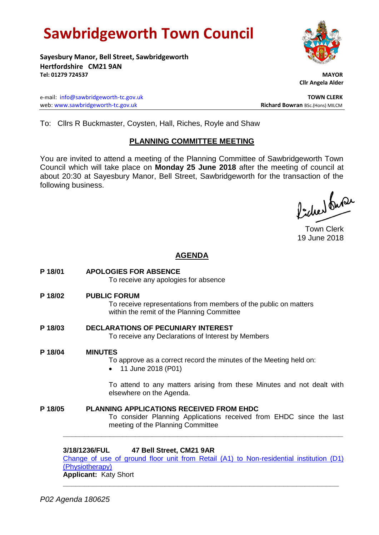# **Sawbridgeworth Town Council**

**Sayesbury Manor, Bell Street, Sawbridgeworth Hertfordshire CM21 9AN Tel: 01279 724537 MAYOR**

e-mail: [info@sawbridgeworth-tc.gov.uk](mailto:info@sawbridgeworth-tc.gov.uk) **TOWN CLERK** web: www.sawbridgeworth-tc.gov.uk **Richard Bowran** BSc.(Hons) MILCM

 **Cllr Angela Alder**

To: Cllrs R Buckmaster, Coysten, Hall, Riches, Royle and Shaw

# **PLANNING COMMITTEE MEETING**

You are invited to attend a meeting of the Planning Committee of Sawbridgeworth Town Council which will take place on **Monday 25 June 2018** after the meeting of council at about 20:30 at Sayesbury Manor, Bell Street, Sawbridgeworth for the transaction of the following business.

Picked fuse

Town Clerk 19 June 2018

# **AGENDA**

**P 18/01 APOLOGIES FOR ABSENCE** To receive any apologies for absence **P 18/02 PUBLIC FORUM** To receive representations from members of the public on matters within the remit of the Planning Committee **P 18/03 DECLARATIONS OF PECUNIARY INTEREST** To receive any Declarations of Interest by Members **P 18/04 MINUTES** To approve as a correct record the minutes of the Meeting held on: • 11 June 2018 (P01) To attend to any matters arising from these Minutes and not dealt with elsewhere on the Agenda. **P 18/05 PLANNING APPLICATIONS RECEIVED FROM EHDC** To consider Planning Applications received from EHDC since the last meeting of the Planning Committee

# **3/18/1236/FUL 47 Bell Street, CM21 9AR**

[Change of use of ground floor unit from Retail \(A1\) to Non-residential institution \(D1\)](https://publicaccess.eastherts.gov.uk/online-applications/applicationDetails.do?activeTab=documents&keyVal=P9HL9LGLM4U00)  [\(Physiotherapy\)](https://publicaccess.eastherts.gov.uk/online-applications/applicationDetails.do?activeTab=documents&keyVal=P9HL9LGLM4U00) **Applicant:** Katy Short

**\_\_\_\_\_\_\_\_\_\_\_\_\_\_\_\_\_\_\_\_\_\_\_\_\_\_\_\_\_\_\_\_\_\_\_\_\_\_\_\_\_\_\_\_\_\_\_\_\_\_\_\_\_\_\_\_\_\_\_\_\_\_\_\_\_**

**\_\_\_\_\_\_\_\_\_\_\_\_\_\_\_\_\_\_\_\_\_\_\_\_\_\_\_\_\_\_\_\_\_\_\_\_\_\_\_\_\_\_\_\_\_\_\_\_\_\_\_\_\_\_\_\_\_\_\_\_\_\_\_\_\_\_**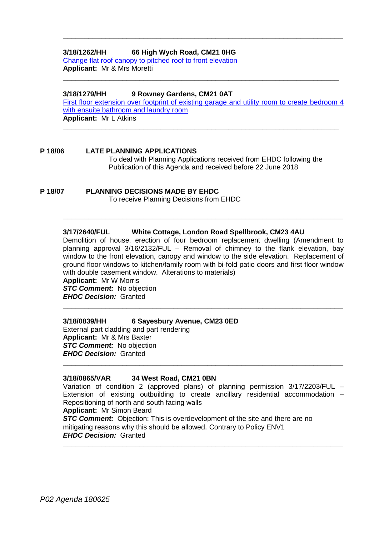# **3/18/1262/HH 66 High Wych Road, CM21 0HG**

[Change flat roof canopy to pitched roof to front elevation](https://publicaccess.eastherts.gov.uk/online-applications/applicationDetails.do?activeTab=documents&keyVal=P9LAMEGLM6C00) **Applicant:** Mr & Mrs Moretti

### **3/18/1279/HH 9 Rowney Gardens, CM21 0AT**

[First floor extension over footprint of existing garage and utility room to create](https://publicaccess.eastherts.gov.uk/online-applications/applicationDetails.do?activeTab=documents&keyVal=P9QULXGLM7I00) bedroom 4 [with ensuite bathroom and laundry room](https://publicaccess.eastherts.gov.uk/online-applications/applicationDetails.do?activeTab=documents&keyVal=P9QULXGLM7I00) **Applicant:** Mr L Atkins

**\_\_\_\_\_\_\_\_\_\_\_\_\_\_\_\_\_\_\_\_\_\_\_\_\_\_\_\_\_\_\_\_\_\_\_\_\_\_\_\_\_\_\_\_\_\_\_\_\_\_\_\_\_\_\_\_\_\_\_\_\_\_\_\_\_**

**\_\_\_\_\_\_\_\_\_\_\_\_\_\_\_\_\_\_\_\_\_\_\_\_\_\_\_\_\_\_\_\_\_\_\_\_\_\_\_\_\_\_\_\_\_\_\_\_\_\_\_\_\_\_\_\_\_\_\_\_\_\_\_\_\_\_**

**\_\_\_\_\_\_\_\_\_\_\_\_\_\_\_\_\_\_\_\_\_\_\_\_\_\_\_\_\_\_\_\_\_\_\_\_\_\_\_\_\_\_\_\_\_\_\_\_\_\_\_\_\_\_\_\_\_\_\_\_\_\_\_\_\_**

**P 18/06 LATE PLANNING APPLICATIONS**

To deal with Planning Applications received from EHDC following the Publication of this Agenda and received before 22 June 2018

#### **P 18/07 PLANNING DECISIONS MADE BY EHDC**

To receive Planning Decisions from EHDC

# **3/17/2640/FUL White Cottage, London Road Spellbrook, CM23 4AU**

Demolition of house, erection of four bedroom replacement dwelling (Amendment to planning approval 3/16/2132/FUL – Removal of chimney to the flank elevation, bay window to the front elevation, canopy and window to the side elevation. Replacement of ground floor windows to kitchen/family room with bi-fold patio doors and first floor window with double casement window. Alterations to materials)

**\_\_\_\_\_\_\_\_\_\_\_\_\_\_\_\_\_\_\_\_\_\_\_\_\_\_\_\_\_\_\_\_\_\_\_\_\_\_\_\_\_\_\_\_\_\_\_\_\_\_\_\_\_\_\_\_\_\_\_\_\_\_\_\_\_\_**

**\_\_\_\_\_\_\_\_\_\_\_\_\_\_\_\_\_\_\_\_\_\_\_\_\_\_\_\_\_\_\_\_\_\_\_\_\_\_\_\_\_\_\_\_\_\_\_\_\_\_\_\_\_\_\_\_\_\_\_\_\_\_\_\_\_\_**

**Applicant:** Mr W Morris **STC Comment:** No objection *EHDC Decision:* Granted

#### **3/18/0839/HH 6 Sayesbury Avenue, CM23 0ED**

External part cladding and part rendering **Applicant:** Mr & Mrs Baxter *STC Comment:* No objection *EHDC Decision:* Granted

# **3/18/0865/VAR 34 West Road, CM21 0BN**

Variation of condition 2 (approved plans) of planning permission 3/17/2203/FUL – Extension of existing outbuilding to create ancillary residential accommodation – Repositioning of north and south facing walls **Applicant:** Mr Simon Beard **STC Comment:** Objection: This is overdevelopment of the site and there are no

**\_\_\_\_\_\_\_\_\_\_\_\_\_\_\_\_\_\_\_\_\_\_\_\_\_\_\_\_\_\_\_\_\_\_\_\_\_\_\_\_\_\_\_\_\_\_\_\_\_\_\_\_\_\_\_\_\_\_\_\_\_\_\_\_\_\_**

**\_\_\_\_\_\_\_\_\_\_\_\_\_\_\_\_\_\_\_\_\_\_\_\_\_\_\_\_\_\_\_\_\_\_\_\_\_\_\_\_\_\_\_\_\_\_\_\_\_\_\_\_\_\_\_\_\_\_\_\_\_\_\_\_\_\_**

mitigating reasons why this should be allowed. Contrary to Policy ENV1 *EHDC Decision:* Granted